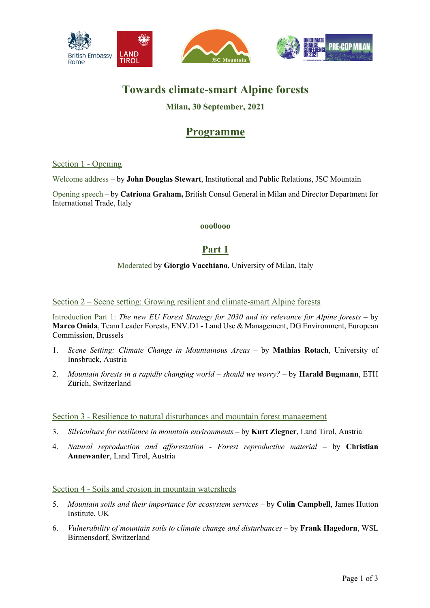

# **Towards climate-smart Alpine forests**

### **Milan, 30 September, 2021**

## **Programme**

#### Section 1 - Opening

Welcome address – by **John Douglas Stewart**, Institutional and Public Relations, JSC Mountain

Opening speech – by **Catriona Graham,** British Consul General in Milan and Director Department for International Trade, Italy

#### **ooo0ooo**

## **Part 1**

#### Moderated by **Giorgio Vacchiano**, University of Milan, Italy

Section 2 – Scene setting: Growing resilient and climate-smart Alpine forests

Introduction Part 1: *The new EU Forest Strategy for 2030 and its relevance for Alpine forests* – by **Marco Onida**, Team Leader Forests, ENV.D1 - Land Use & Management, DG Environment, European Commission, Brussels

- 1. *Scene Setting: Climate Change in Mountainous Areas* by **Mathias Rotach**, University of Innsbruck, Austria
- 2. *Mountain forests in a rapidly changing world – should we worry?* by **Harald Bugmann**, ETH Zürich, Switzerland

Section 3 - Resilience to natural disturbances and mountain forest management

- 3. *Silviculture for resilience in mountain environments* by **Kurt Ziegner**, Land Tirol, Austria
- 4. *Natural reproduction and afforestation - Forest reproductive material* by **Christian Annewanter**, Land Tirol, Austria

#### Section 4 - Soils and erosion in mountain watersheds

- 5. *Mountain soils and their importance for ecosystem services* by **Colin Campbell**, James Hutton Institute, UK
- 6. *Vulnerability of mountain soils to climate change and disturbances* by **Frank Hagedorn**, WSL Birmensdorf, Switzerland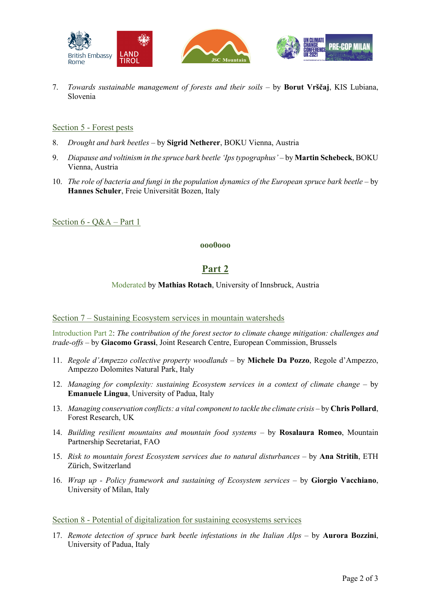

7. *Towards sustainable management of forests and their soils* – by **Borut Vrščaj**, KIS Lubiana, Slovenia

#### Section 5 - Forest pests

- 8. *Drought and bark beetles* by **Sigrid Netherer**, BOKU Vienna, Austria
- 9. *Diapause and voltinism in the spruce bark beetle 'Ips typographus'* by **Martin Schebeck**, BOKU Vienna, Austria
- 10. *The role of bacteria and fungi in the population dynamics of the European spruce bark beetle* by **Hannes Schuler**, Freie Universität Bozen, Italy

Section 6 - Q&A – Part 1

#### **ooo0ooo**

### **Part 2**

#### Moderated by **Mathias Rotach**, University of Innsbruck, Austria

#### Section 7 – Sustaining Ecosystem services in mountain watersheds

Introduction Part 2: *The contribution of the forest sector to climate change mitigation: challenges and trade-offs* – by **Giacomo Grassi**, Joint Research Centre, European Commission, Brussels

- 11. *Regole d'Ampezzo collective property woodlands* by **Michele Da Pozzo**, Regole d'Ampezzo, Ampezzo Dolomites Natural Park, Italy
- 12. *Managing for complexity: sustaining Ecosystem services in a context of climate change* by **Emanuele Lingua**, University of Padua, Italy
- 13. *Managing conservation conflicts: a vital component to tackle the climate crisis* by Chris Pollard, Forest Research, UK
- 14. *Building resilient mountains and mountain food systems* by **Rosalaura Romeo**, Mountain Partnership Secretariat, FAO
- 15. Risk to mountain forest Ecosystem services due to natural disturbances by Ana Stritih, ETH Zürich, Switzerland
- 16. *Wrap up - Policy framework and sustaining of Ecosystem services* by **Giorgio Vacchiano**, University of Milan, Italy

Section 8 - Potential of digitalization for sustaining ecosystems services

17. *Remote detection of spruce bark beetle infestations in the Italian Alps* – by **Aurora Bozzini**, University of Padua, Italy